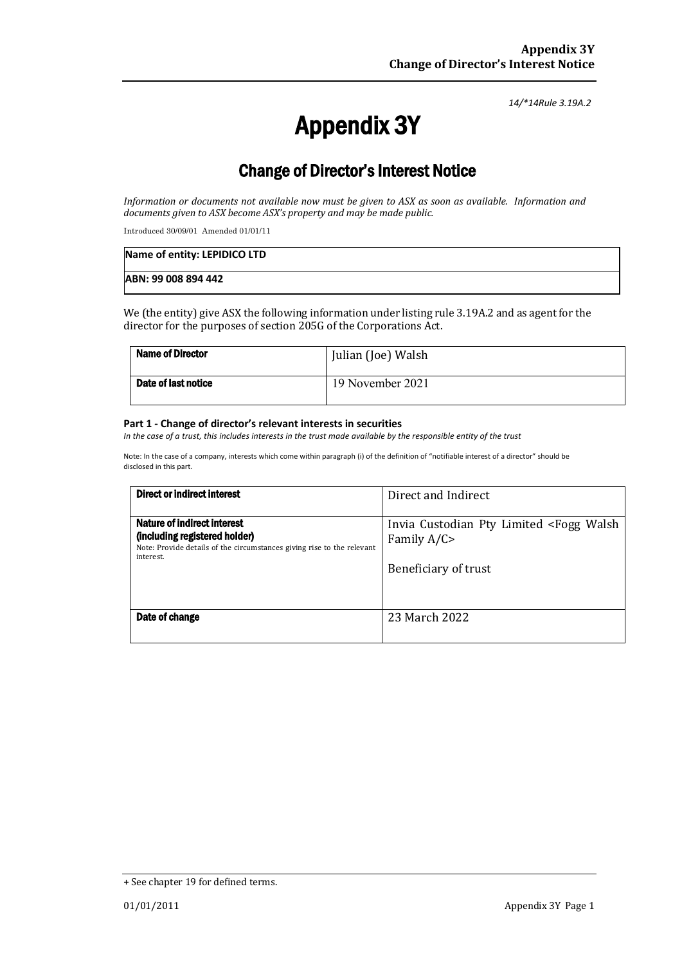*14/\*14Rule 3.19A.2*

# Appendix 3Y

# Change of Director's Interest Notice

*Information or documents not available now must be given to ASX as soon as available. Information and* documents given to ASX become ASX's property and may be made public.

Introduced 30/09/01 Amended 01/01/11

| Name of entity: LEPIDICO LTD |  |
|------------------------------|--|
| ABN: 99 008 894 442          |  |

We (the entity) give ASX the following information under listing rule 3.19A.2 and as agent for the director for the purposes of section 205G of the Corporations Act.

| <b>Name of Director</b> | Julian (Joe) Walsh |
|-------------------------|--------------------|
| Date of last notice     | 19 November 2021   |

#### **Part 1 - Change of director's relevant interests in securities**

*In the case of a trust, this includes interests in the trust made available by the responsible entity of the trust*

Note: In the case of a company, interests which come within paragraph (i) of the definition of "notifiable interest of a director" should be disclosed in this part.

| <b>Direct or indirect interest</b>                                                                                                                  | Direct and Indirect                                                                                   |
|-----------------------------------------------------------------------------------------------------------------------------------------------------|-------------------------------------------------------------------------------------------------------|
| Nature of indirect interest<br>(including registered holder)<br>Note: Provide details of the circumstances giving rise to the relevant<br>interest. | Invia Custodian Pty Limited <fogg walsh<br="">Family <math>A/C</math><br/>Beneficiary of trust</fogg> |
| Date of change                                                                                                                                      | 23 March 2022                                                                                         |

<sup>+</sup> See chapter 19 for defined terms.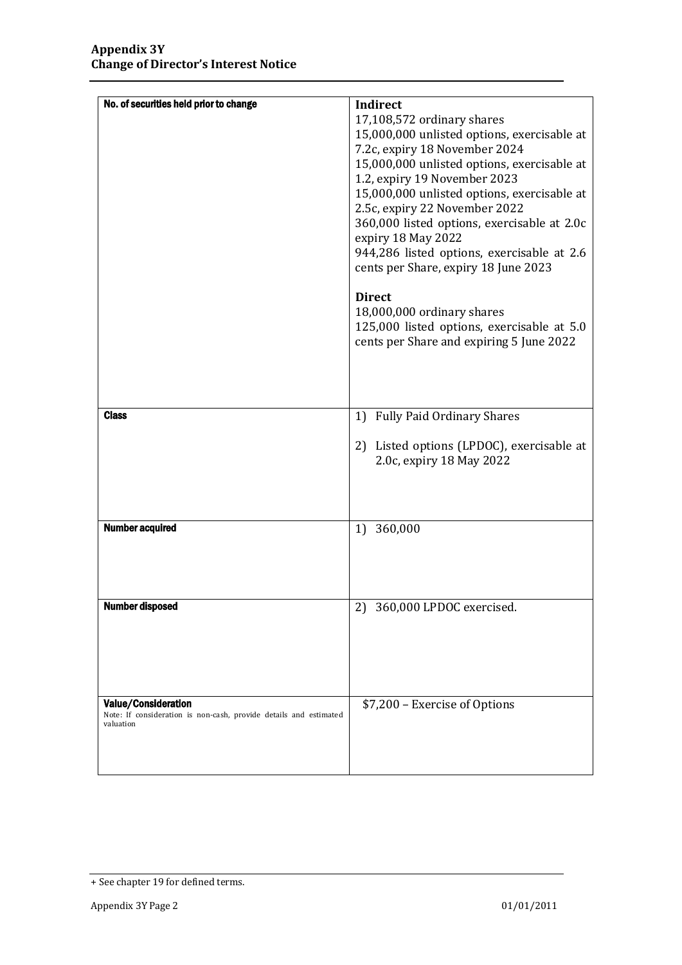| No. of securities held prior to change                                                                       | Indirect<br>17,108,572 ordinary shares<br>15,000,000 unlisted options, exercisable at<br>7.2c, expiry 18 November 2024<br>15,000,000 unlisted options, exercisable at<br>1.2, expiry 19 November 2023<br>15,000,000 unlisted options, exercisable at<br>2.5c, expiry 22 November 2022<br>360,000 listed options, exercisable at 2.0c<br>expiry 18 May 2022<br>944,286 listed options, exercisable at 2.6<br>cents per Share, expiry 18 June 2023<br><b>Direct</b><br>18,000,000 ordinary shares<br>125,000 listed options, exercisable at 5.0<br>cents per Share and expiring 5 June 2022 |
|--------------------------------------------------------------------------------------------------------------|-------------------------------------------------------------------------------------------------------------------------------------------------------------------------------------------------------------------------------------------------------------------------------------------------------------------------------------------------------------------------------------------------------------------------------------------------------------------------------------------------------------------------------------------------------------------------------------------|
| <b>Class</b>                                                                                                 | <b>Fully Paid Ordinary Shares</b><br>1)<br>2) Listed options (LPDOC), exercisable at<br>2.0c, expiry 18 May 2022                                                                                                                                                                                                                                                                                                                                                                                                                                                                          |
| <b>Number acquired</b>                                                                                       | 360,000<br>1)                                                                                                                                                                                                                                                                                                                                                                                                                                                                                                                                                                             |
| <b>Number disposed</b>                                                                                       | 2) 360,000 LPDOC exercised.                                                                                                                                                                                                                                                                                                                                                                                                                                                                                                                                                               |
| <b>Value/Consideration</b><br>Note: If consideration is non-cash, provide details and estimated<br>valuation | \$7,200 - Exercise of Options                                                                                                                                                                                                                                                                                                                                                                                                                                                                                                                                                             |

<sup>+</sup> See chapter 19 for defined terms.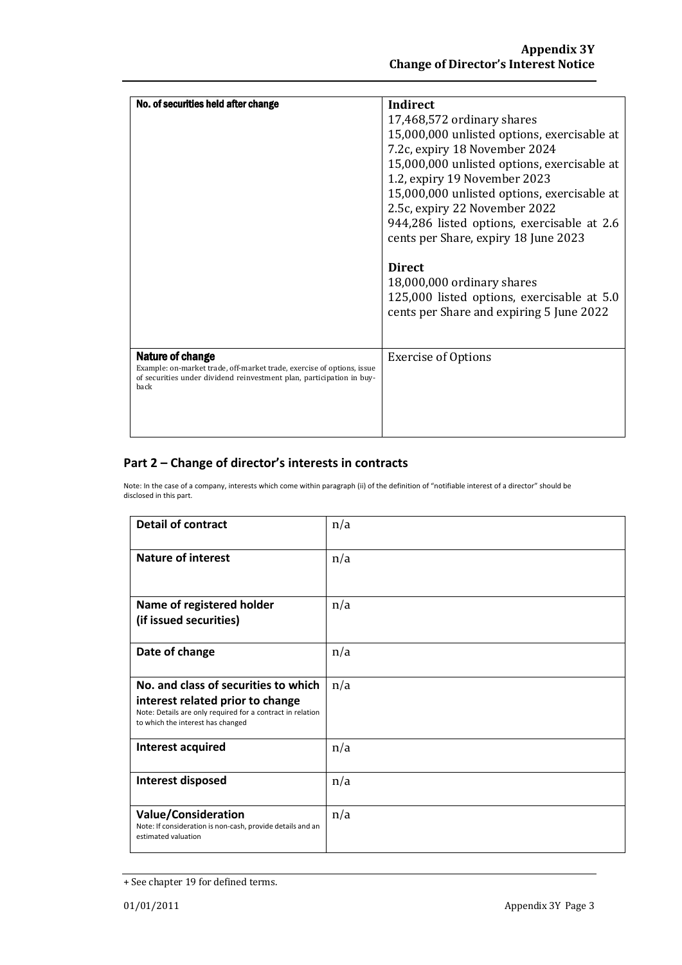| No. of securities held after change                                                                                                                                                | Indirect                                    |
|------------------------------------------------------------------------------------------------------------------------------------------------------------------------------------|---------------------------------------------|
|                                                                                                                                                                                    |                                             |
|                                                                                                                                                                                    | 17,468,572 ordinary shares                  |
|                                                                                                                                                                                    | 15,000,000 unlisted options, exercisable at |
|                                                                                                                                                                                    | 7.2c, expiry 18 November 2024               |
|                                                                                                                                                                                    | 15,000,000 unlisted options, exercisable at |
|                                                                                                                                                                                    | 1.2, expiry 19 November 2023                |
|                                                                                                                                                                                    | 15,000,000 unlisted options, exercisable at |
|                                                                                                                                                                                    | 2.5c, expiry 22 November 2022               |
|                                                                                                                                                                                    | 944,286 listed options, exercisable at 2.6  |
|                                                                                                                                                                                    | cents per Share, expiry 18 June 2023        |
|                                                                                                                                                                                    |                                             |
|                                                                                                                                                                                    | <b>Direct</b>                               |
|                                                                                                                                                                                    | 18,000,000 ordinary shares                  |
|                                                                                                                                                                                    | 125,000 listed options, exercisable at 5.0  |
|                                                                                                                                                                                    |                                             |
|                                                                                                                                                                                    | cents per Share and expiring 5 June 2022    |
|                                                                                                                                                                                    |                                             |
|                                                                                                                                                                                    |                                             |
| <b>Nature of change</b><br>Example: on-market trade, off-market trade, exercise of options, issue<br>of securities under dividend reinvestment plan, participation in buy-<br>back | <b>Exercise of Options</b>                  |
|                                                                                                                                                                                    |                                             |
|                                                                                                                                                                                    |                                             |
|                                                                                                                                                                                    |                                             |

### **Part 2 – Change of director's interests in contracts**

Note: In the case of a company, interests which come within paragraph (ii) of the definition of "notifiable interest of a director" should be disclosed in this part.

| <b>Detail of contract</b>                                                                                                                                                   | n/a |
|-----------------------------------------------------------------------------------------------------------------------------------------------------------------------------|-----|
| <b>Nature of interest</b>                                                                                                                                                   | n/a |
| Name of registered holder<br>(if issued securities)                                                                                                                         | n/a |
| Date of change                                                                                                                                                              | n/a |
| No. and class of securities to which<br>interest related prior to change<br>Note: Details are only required for a contract in relation<br>to which the interest has changed | n/a |
| Interest acquired                                                                                                                                                           | n/a |
| Interest disposed                                                                                                                                                           | n/a |
| <b>Value/Consideration</b><br>Note: If consideration is non-cash, provide details and an<br>estimated valuation                                                             | n/a |

<sup>+</sup> See chapter 19 for defined terms.